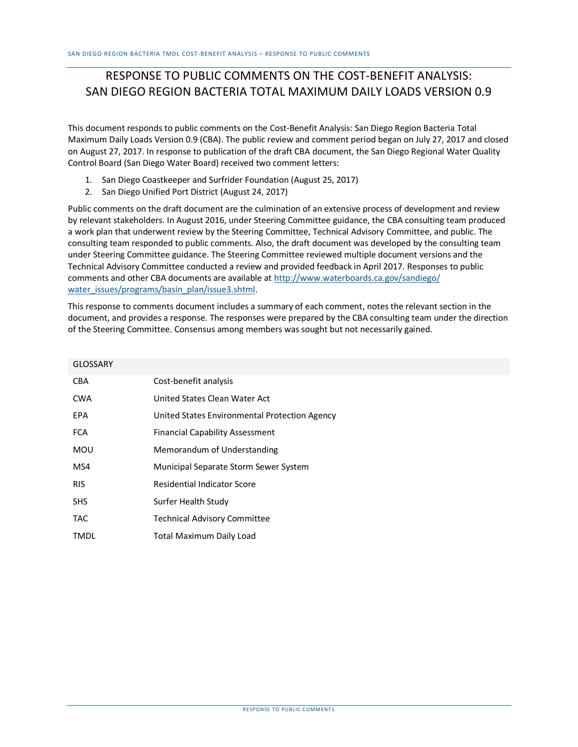## RESPONSE TO PUBLIC COMMENTS ON THE COST-BENEFIT ANALYSIS: SAN DIEGO REGION BACTERIA TOTAL MAXIMUM DAILY LOADS VERSION 0.9

This document responds to public comments on the Cost-Benefit Analysis: San Diego Region Bacteria Total Maximum Daily Loads Version 0.9 (CBA). The public review and comment period began on July 27, 2017 and closed on August 27, 2017. In response to publication of the draft CBA document, the San Diego Regional Water Quality Control Board (San Diego Water Board) received two comment letters:

- 1. San Diego Coastkeeper and Surfrider Foundation (August 25, 2017)
- 2. San Diego Unified Port District (August 24, 2017)

Public comments on the draft document are the culmination of an extensive process of development and review by relevant stakeholders. In August 2016, under Steering Committee guidance, the CBA consulting team produced a work plan that underwent review by the Steering Committee, Technical Advisory Committee, and public. The consulting team responded to public comments. Also, the draft document was developed by the consulting team under Steering Committee guidance. The Steering Committee reviewed multiple document versions and the Technical Advisory Committee conducted a review and provided feedback in April 2017. Responses to public comments and other CBA documents are available at [http://www.waterboards.ca.gov/sandiego/](http://www.waterboards.ca.gov/sandiego/water_issues/programs/basin_plan/issue3.shtml) [water\\_issues/programs/basin\\_plan/issue3.shtml.](http://www.waterboards.ca.gov/sandiego/water_issues/programs/basin_plan/issue3.shtml)

This response to comments document includes a summary of each comment, notes the relevant section in the document, and provides a response. The responses were prepared by the CBA consulting team under the direction of the Steering Committee. Consensus among members was sought but not necessarily gained.

| <b>GLOSSARY</b> |                                               |
|-----------------|-----------------------------------------------|
| <b>CBA</b>      | Cost-benefit analysis                         |
| <b>CWA</b>      | United States Clean Water Act                 |
| <b>EPA</b>      | United States Environmental Protection Agency |
| <b>FCA</b>      | <b>Financial Capability Assessment</b>        |
| <b>MOU</b>      | Memorandum of Understanding                   |
| MS4             | Municipal Separate Storm Sewer System         |
| <b>RIS</b>      | <b>Residential Indicator Score</b>            |
| <b>SHS</b>      | Surfer Health Study                           |
| <b>TAC</b>      | <b>Technical Advisory Committee</b>           |
| <b>TMDL</b>     | <b>Total Maximum Daily Load</b>               |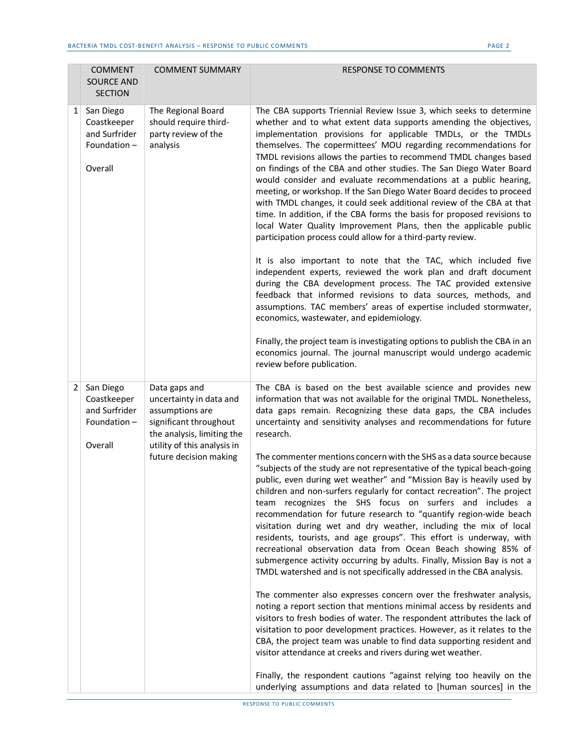|                | <b>COMMENT</b><br><b>SOURCE AND</b><br><b>SECTION</b>               | <b>COMMENT SUMMARY</b>                                                                                                                                                       | <b>RESPONSE TO COMMENTS</b>                                                                                                                                                                                                                                                                                                                                                                                                                                                                                                                                                                                                                                                                                                                                                                                                                                                                                                                                                                                                                                                                                                                                                                                                                                                                                                                                                                                                                                                                                                                                                                                                                                                                         |
|----------------|---------------------------------------------------------------------|------------------------------------------------------------------------------------------------------------------------------------------------------------------------------|-----------------------------------------------------------------------------------------------------------------------------------------------------------------------------------------------------------------------------------------------------------------------------------------------------------------------------------------------------------------------------------------------------------------------------------------------------------------------------------------------------------------------------------------------------------------------------------------------------------------------------------------------------------------------------------------------------------------------------------------------------------------------------------------------------------------------------------------------------------------------------------------------------------------------------------------------------------------------------------------------------------------------------------------------------------------------------------------------------------------------------------------------------------------------------------------------------------------------------------------------------------------------------------------------------------------------------------------------------------------------------------------------------------------------------------------------------------------------------------------------------------------------------------------------------------------------------------------------------------------------------------------------------------------------------------------------------|
| 1              | San Diego<br>Coastkeeper<br>and Surfrider<br>Foundation-<br>Overall | The Regional Board<br>should require third-<br>party review of the<br>analysis                                                                                               | The CBA supports Triennial Review Issue 3, which seeks to determine<br>whether and to what extent data supports amending the objectives,<br>implementation provisions for applicable TMDLs, or the TMDLs<br>themselves. The copermittees' MOU regarding recommendations for<br>TMDL revisions allows the parties to recommend TMDL changes based<br>on findings of the CBA and other studies. The San Diego Water Board<br>would consider and evaluate recommendations at a public hearing,<br>meeting, or workshop. If the San Diego Water Board decides to proceed<br>with TMDL changes, it could seek additional review of the CBA at that<br>time. In addition, if the CBA forms the basis for proposed revisions to<br>local Water Quality Improvement Plans, then the applicable public<br>participation process could allow for a third-party review.<br>It is also important to note that the TAC, which included five<br>independent experts, reviewed the work plan and draft document<br>during the CBA development process. The TAC provided extensive<br>feedback that informed revisions to data sources, methods, and<br>assumptions. TAC members' areas of expertise included stormwater,<br>economics, wastewater, and epidemiology.<br>Finally, the project team is investigating options to publish the CBA in an<br>economics journal. The journal manuscript would undergo academic<br>review before publication.                                                                                                                                                                                                                                                              |
| $\overline{2}$ | San Diego<br>Coastkeeper<br>and Surfrider<br>Foundation-<br>Overall | Data gaps and<br>uncertainty in data and<br>assumptions are<br>significant throughout<br>the analysis, limiting the<br>utility of this analysis in<br>future decision making | The CBA is based on the best available science and provides new<br>information that was not available for the original TMDL. Nonetheless,<br>data gaps remain. Recognizing these data gaps, the CBA includes<br>uncertainty and sensitivity analyses and recommendations for future<br>research.<br>The commenter mentions concern with the SHS as a data source because<br>"subjects of the study are not representative of the typical beach-going<br>public, even during wet weather" and "Mission Bay is heavily used by<br>children and non-surfers regularly for contact recreation". The project<br>team recognizes the SHS focus on surfers and includes a<br>recommendation for future research to "quantify region-wide beach<br>visitation during wet and dry weather, including the mix of local<br>residents, tourists, and age groups". This effort is underway, with<br>recreational observation data from Ocean Beach showing 85% of<br>submergence activity occurring by adults. Finally, Mission Bay is not a<br>TMDL watershed and is not specifically addressed in the CBA analysis.<br>The commenter also expresses concern over the freshwater analysis,<br>noting a report section that mentions minimal access by residents and<br>visitors to fresh bodies of water. The respondent attributes the lack of<br>visitation to poor development practices. However, as it relates to the<br>CBA, the project team was unable to find data supporting resident and<br>visitor attendance at creeks and rivers during wet weather.<br>Finally, the respondent cautions "against relying too heavily on the<br>underlying assumptions and data related to [human sources] in the |

 $\overline{a}$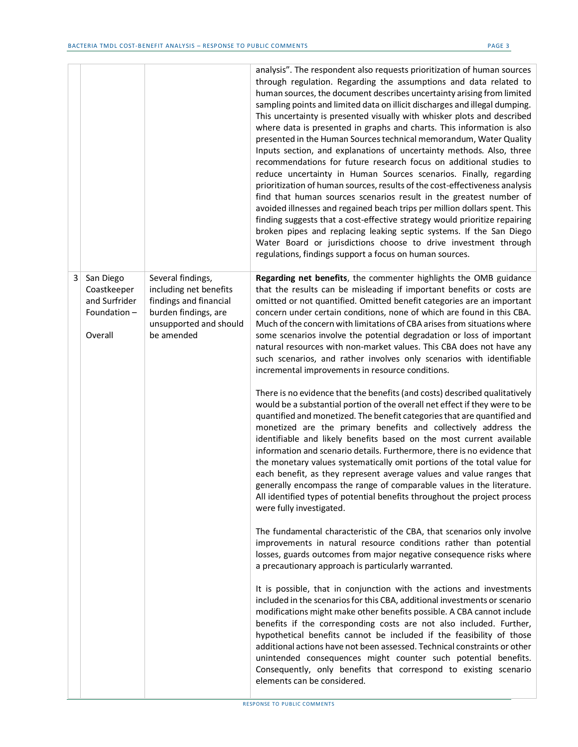|   |                                                                     |                                                                                                                                       | analysis". The respondent also requests prioritization of human sources<br>through regulation. Regarding the assumptions and data related to<br>human sources, the document describes uncertainty arising from limited<br>sampling points and limited data on illicit discharges and illegal dumping.<br>This uncertainty is presented visually with whisker plots and described<br>where data is presented in graphs and charts. This information is also<br>presented in the Human Sources technical memorandum, Water Quality<br>Inputs section, and explanations of uncertainty methods. Also, three<br>recommendations for future research focus on additional studies to<br>reduce uncertainty in Human Sources scenarios. Finally, regarding<br>prioritization of human sources, results of the cost-effectiveness analysis<br>find that human sources scenarios result in the greatest number of<br>avoided illnesses and regained beach trips per million dollars spent. This<br>finding suggests that a cost-effective strategy would prioritize repairing<br>broken pipes and replacing leaking septic systems. If the San Diego<br>Water Board or jurisdictions choose to drive investment through<br>regulations, findings support a focus on human sources. |
|---|---------------------------------------------------------------------|---------------------------------------------------------------------------------------------------------------------------------------|---------------------------------------------------------------------------------------------------------------------------------------------------------------------------------------------------------------------------------------------------------------------------------------------------------------------------------------------------------------------------------------------------------------------------------------------------------------------------------------------------------------------------------------------------------------------------------------------------------------------------------------------------------------------------------------------------------------------------------------------------------------------------------------------------------------------------------------------------------------------------------------------------------------------------------------------------------------------------------------------------------------------------------------------------------------------------------------------------------------------------------------------------------------------------------------------------------------------------------------------------------------------------|
| 3 | San Diego<br>Coastkeeper<br>and Surfrider<br>Foundation-<br>Overall | Several findings,<br>including net benefits<br>findings and financial<br>burden findings, are<br>unsupported and should<br>be amended | Regarding net benefits, the commenter highlights the OMB guidance<br>that the results can be misleading if important benefits or costs are<br>omitted or not quantified. Omitted benefit categories are an important<br>concern under certain conditions, none of which are found in this CBA.<br>Much of the concern with limitations of CBA arises from situations where<br>some scenarios involve the potential degradation or loss of important<br>natural resources with non-market values. This CBA does not have any<br>such scenarios, and rather involves only scenarios with identifiable<br>incremental improvements in resource conditions.                                                                                                                                                                                                                                                                                                                                                                                                                                                                                                                                                                                                                   |
|   |                                                                     |                                                                                                                                       | There is no evidence that the benefits (and costs) described qualitatively<br>would be a substantial portion of the overall net effect if they were to be<br>quantified and monetized. The benefit categories that are quantified and<br>monetized are the primary benefits and collectively address the<br>identifiable and likely benefits based on the most current available<br>information and scenario details. Furthermore, there is no evidence that<br>the monetary values systematically omit portions of the total value for<br>each benefit, as they represent average values and value ranges that<br>generally encompass the range of comparable values in the literature.<br>All identified types of potential benefits throughout the project process<br>were fully investigated.                                                                                                                                                                                                                                                                                                                                                                                                                                                                         |
|   |                                                                     |                                                                                                                                       | The fundamental characteristic of the CBA, that scenarios only involve<br>improvements in natural resource conditions rather than potential<br>losses, guards outcomes from major negative consequence risks where<br>a precautionary approach is particularly warranted.                                                                                                                                                                                                                                                                                                                                                                                                                                                                                                                                                                                                                                                                                                                                                                                                                                                                                                                                                                                                 |
|   |                                                                     |                                                                                                                                       | It is possible, that in conjunction with the actions and investments<br>included in the scenarios for this CBA, additional investments or scenario<br>modifications might make other benefits possible. A CBA cannot include<br>benefits if the corresponding costs are not also included. Further,<br>hypothetical benefits cannot be included if the feasibility of those<br>additional actions have not been assessed. Technical constraints or other<br>unintended consequences might counter such potential benefits.<br>Consequently, only benefits that correspond to existing scenario<br>elements can be considered.                                                                                                                                                                                                                                                                                                                                                                                                                                                                                                                                                                                                                                             |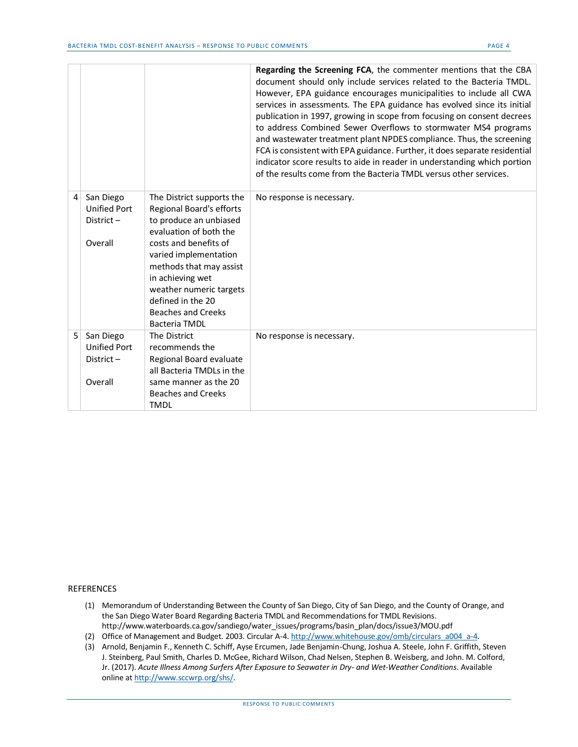|   |                                                             |                                                                                                                                                                                                                                                                                                                 | Regarding the Screening FCA, the commenter mentions that the CBA<br>document should only include services related to the Bacteria TMDL.<br>However, EPA guidance encourages municipalities to include all CWA<br>services in assessments. The EPA guidance has evolved since its initial<br>publication in 1997, growing in scope from focusing on consent decrees<br>to address Combined Sewer Overflows to stormwater MS4 programs<br>and wastewater treatment plant NPDES compliance. Thus, the screening<br>FCA is consistent with EPA guidance. Further, it does separate residential<br>indicator score results to aide in reader in understanding which portion<br>of the results come from the Bacteria TMDL versus other services. |
|---|-------------------------------------------------------------|-----------------------------------------------------------------------------------------------------------------------------------------------------------------------------------------------------------------------------------------------------------------------------------------------------------------|---------------------------------------------------------------------------------------------------------------------------------------------------------------------------------------------------------------------------------------------------------------------------------------------------------------------------------------------------------------------------------------------------------------------------------------------------------------------------------------------------------------------------------------------------------------------------------------------------------------------------------------------------------------------------------------------------------------------------------------------|
| 4 | San Diego<br><b>Unified Port</b><br>District-<br>Overall    | The District supports the<br>Regional Board's efforts<br>to produce an unbiased<br>evaluation of both the<br>costs and benefits of<br>varied implementation<br>methods that may assist<br>in achieving wet<br>weather numeric targets<br>defined in the 20<br><b>Beaches and Creeks</b><br><b>Bacteria TMDL</b> | No response is necessary.                                                                                                                                                                                                                                                                                                                                                                                                                                                                                                                                                                                                                                                                                                                   |
| 5 | San Diego<br><b>Unified Port</b><br>District $-$<br>Overall | The District<br>recommends the<br>Regional Board evaluate<br>all Bacteria TMDLs in the<br>same manner as the 20<br><b>Beaches and Creeks</b><br><b>TMDL</b>                                                                                                                                                     | No response is necessary.                                                                                                                                                                                                                                                                                                                                                                                                                                                                                                                                                                                                                                                                                                                   |

## REFERENCES

- (1) Memorandum of Understanding Between the County of San Diego, City of San Diego, and the County of Orange, and the San Diego Water Board Regarding Bacteria TMDL and Recommendations for TMDL Revisions. http://www.waterboards.ca.gov/sandiego/water\_issues/programs/basin\_plan/docs/issue3/MOU.pdf
- (2) Office of Management and Budget. 2003. Circular A-4[. http://www.whitehouse.gov/omb/circulars\\_a004\\_a-4.](http://www.whitehouse.gov/omb/circulars_a004_a-4)
- (3) Arnold, Benjamin F., Kenneth C. Schiff, Ayse Ercumen, Jade Benjamin-Chung, Joshua A. Steele, John F. Griffith, Steven J. Steinberg, Paul Smith, Charles D. McGee, Richard Wilson, Chad Nelsen, Stephen B. Weisberg, and John. M. Colford, Jr. (2017). *Acute Illness Among Surfers After Exposure to Seawater in Dry- and Wet-Weather Conditions*. Available online a[t http://www.sccwrp.org/shs/.](http://www.sccwrp.org/shs/)